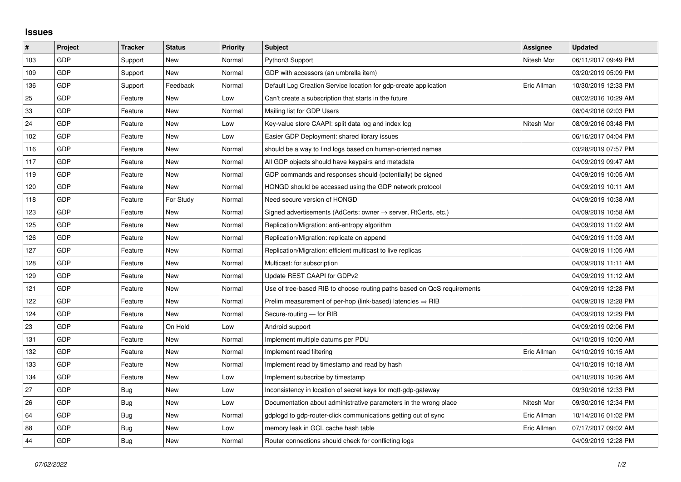## **Issues**

| $\sharp$ | <b>Project</b> | <b>Tracker</b> | <b>Status</b> | <b>Priority</b> | <b>Subject</b>                                                          | Assignee    | <b>Updated</b>      |
|----------|----------------|----------------|---------------|-----------------|-------------------------------------------------------------------------|-------------|---------------------|
| 103      | GDP            | Support        | <b>New</b>    | Normal          | Python3 Support                                                         | Nitesh Mor  | 06/11/2017 09:49 PM |
| 109      | <b>GDP</b>     | Support        | <b>New</b>    | Normal          | GDP with accessors (an umbrella item)                                   |             | 03/20/2019 05:09 PM |
| 136      | <b>GDP</b>     | Support        | Feedback      | Normal          | Default Log Creation Service location for gdp-create application        | Eric Allman | 10/30/2019 12:33 PM |
| 25       | GDP            | Feature        | <b>New</b>    | Low             | Can't create a subscription that starts in the future                   |             | 08/02/2016 10:29 AM |
| 33       | <b>GDP</b>     | Feature        | <b>New</b>    | Normal          | Mailing list for GDP Users                                              |             | 08/04/2016 02:03 PM |
| 24       | <b>GDP</b>     | Feature        | <b>New</b>    | Low             | Key-value store CAAPI: split data log and index log                     | Nitesh Mor  | 08/09/2016 03:48 PM |
| 102      | GDP            | Feature        | <b>New</b>    | Low             | Easier GDP Deployment: shared library issues                            |             | 06/16/2017 04:04 PM |
| 116      | GDP            | Feature        | <b>New</b>    | Normal          | should be a way to find logs based on human-oriented names              |             | 03/28/2019 07:57 PM |
| 117      | <b>GDP</b>     | Feature        | <b>New</b>    | Normal          | All GDP objects should have keypairs and metadata                       |             | 04/09/2019 09:47 AM |
| 119      | <b>GDP</b>     | Feature        | <b>New</b>    | Normal          | GDP commands and responses should (potentially) be signed               |             | 04/09/2019 10:05 AM |
| 120      | <b>GDP</b>     | Feature        | <b>New</b>    | Normal          | HONGD should be accessed using the GDP network protocol                 |             | 04/09/2019 10:11 AM |
| 118      | <b>GDP</b>     | Feature        | For Study     | Normal          | Need secure version of HONGD                                            |             | 04/09/2019 10:38 AM |
| 123      | <b>GDP</b>     | Feature        | <b>New</b>    | Normal          | Signed advertisements (AdCerts: owner → server, RtCerts, etc.)          |             | 04/09/2019 10:58 AM |
| 125      | <b>GDP</b>     | Feature        | <b>New</b>    | Normal          | Replication/Migration: anti-entropy algorithm                           |             | 04/09/2019 11:02 AM |
| 126      | <b>GDP</b>     | Feature        | <b>New</b>    | Normal          | Replication/Migration: replicate on append                              |             | 04/09/2019 11:03 AM |
| 127      | <b>GDP</b>     | Feature        | <b>New</b>    | Normal          | Replication/Migration: efficient multicast to live replicas             |             | 04/09/2019 11:05 AM |
| 128      | <b>GDP</b>     | Feature        | <b>New</b>    | Normal          | Multicast: for subscription                                             |             | 04/09/2019 11:11 AM |
| 129      | <b>GDP</b>     | Feature        | <b>New</b>    | Normal          | Update REST CAAPI for GDPv2                                             |             | 04/09/2019 11:12 AM |
| 121      | <b>GDP</b>     | Feature        | <b>New</b>    | Normal          | Use of tree-based RIB to choose routing paths based on QoS requirements |             | 04/09/2019 12:28 PM |
| 122      | GDP            | Feature        | <b>New</b>    | Normal          | Prelim measurement of per-hop (link-based) latencies $\Rightarrow$ RIB  |             | 04/09/2019 12:28 PM |
| 124      | <b>GDP</b>     | Feature        | <b>New</b>    | Normal          | Secure-routing - for RIB                                                |             | 04/09/2019 12:29 PM |
| 23       | <b>GDP</b>     | Feature        | On Hold       | Low             | Android support                                                         |             | 04/09/2019 02:06 PM |
| 131      | GDP            | Feature        | <b>New</b>    | Normal          | Implement multiple datums per PDU                                       |             | 04/10/2019 10:00 AM |
| 132      | <b>GDP</b>     | Feature        | <b>New</b>    | Normal          | Implement read filtering                                                | Eric Allman | 04/10/2019 10:15 AM |
| 133      | <b>GDP</b>     | Feature        | <b>New</b>    | Normal          | Implement read by timestamp and read by hash                            |             | 04/10/2019 10:18 AM |
| 134      | GDP            | Feature        | <b>New</b>    | Low             | Implement subscribe by timestamp                                        |             | 04/10/2019 10:26 AM |
| 27       | <b>GDP</b>     | <b>Bug</b>     | <b>New</b>    | Low             | Inconsistency in location of secret keys for mqtt-gdp-gateway           |             | 09/30/2016 12:33 PM |
| 26       | <b>GDP</b>     | <b>Bug</b>     | <b>New</b>    | Low             | Documentation about administrative parameters in the wrong place        | Nitesh Mor  | 09/30/2016 12:34 PM |
| 64       | GDP            | Bug            | <b>New</b>    | Normal          | gdplogd to gdp-router-click communications getting out of sync          | Eric Allman | 10/14/2016 01:02 PM |
| 88       | GDP            | <b>Bug</b>     | <b>New</b>    | Low             | memory leak in GCL cache hash table                                     | Eric Allman | 07/17/2017 09:02 AM |
| 44       | <b>GDP</b>     | <b>Bug</b>     | <b>New</b>    | Normal          | Router connections should check for conflicting logs                    |             | 04/09/2019 12:28 PM |